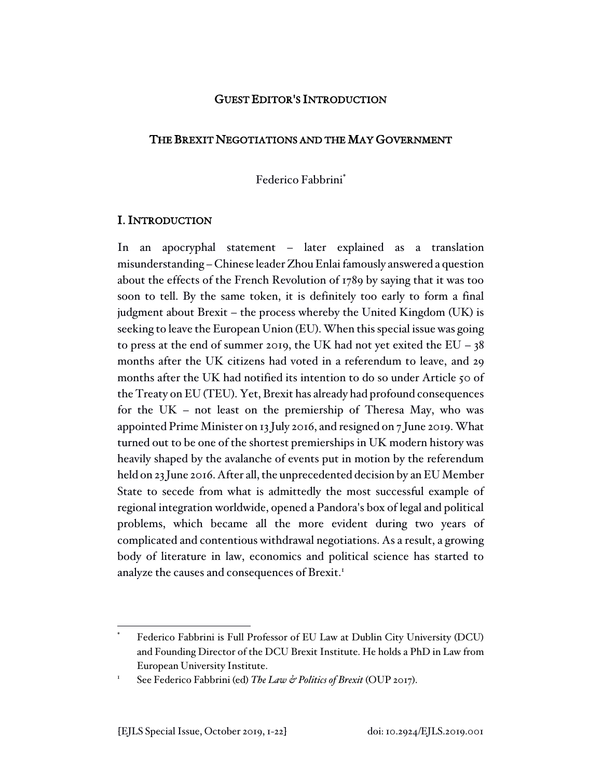## GUEST EDITOR'S INTRODUCTION

## THE BREXIT NEGOTIATIONS AND THE MAY GOVERNMENT

Federico Fabbrini\*

## I. INTRODUCTION

In an apocryphal statement – later explained as a translation misunderstanding – Chinese leader Zhou Enlai famously answered a question about the effects of the French Revolution of 1789 by saying that it was too soon to tell. By the same token, it is definitely too early to form a final judgment about Brexit – the process whereby the United Kingdom (UK) is seeking to leave the European Union (EU). When this special issue was going to press at the end of summer 2019, the UK had not yet exited the  $EU - 38$ months after the UK citizens had voted in a referendum to leave, and 29 months after the UK had notified its intention to do so under Article 50 of the Treaty on EU (TEU). Yet, Brexit has already had profound consequences for the UK – not least on the premiership of Theresa May, who was appointed Prime Minister on 13 July 2016, and resigned on 7 June 2019. What turned out to be one of the shortest premierships in UK modern history was heavily shaped by the avalanche of events put in motion by the referendum held on 23 June 2016. After all, the unprecedented decision by an EU Member State to secede from what is admittedly the most successful example of regional integration worldwide, opened a Pandora's box of legal and political problems, which became all the more evident during two years of complicated and contentious withdrawal negotiations. As a result, a growing body of literature in law, economics and political science has started to analyze the causes and consequences of Brexit.<sup>1</sup>

Federico Fabbrini is Full Professor of EU Law at Dublin City University (DCU) and Founding Director of the DCU Brexit Institute. He holds a PhD in Law from European University Institute.

See Federico Fabbrini (ed) *The Law & Politics of Brexit* (OUP 2017).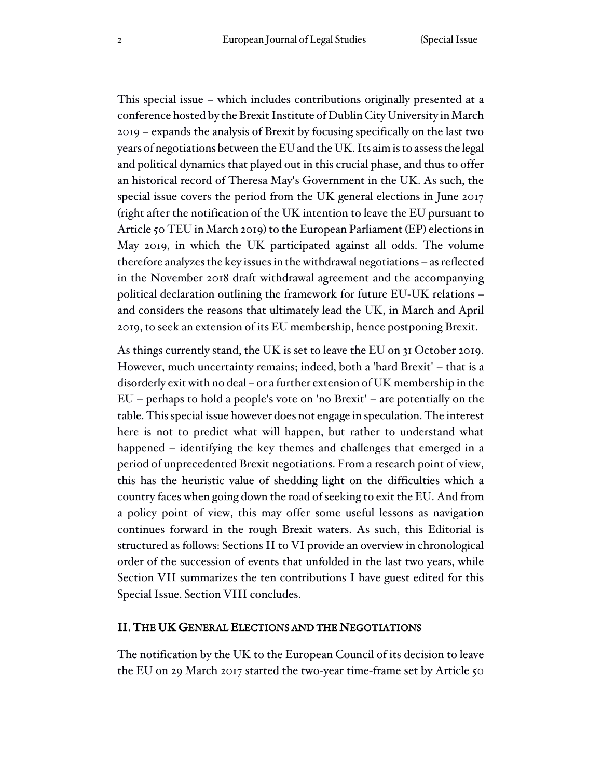This special issue – which includes contributions originally presented at a conference hosted by the Brexit Institute of Dublin City University in March 2019 – expands the analysis of Brexit by focusing specifically on the last two years of negotiations between the EU and the UK. Its aim is to assess the legal and political dynamics that played out in this crucial phase, and thus to offer an historical record of Theresa May's Government in the UK. As such, the special issue covers the period from the UK general elections in June 2017 (right after the notification of the UK intention to leave the EU pursuant to Article 50 TEU in March 2019) to the European Parliament (EP) elections in May 2019, in which the UK participated against all odds. The volume therefore analyzes the key issues in the withdrawal negotiations – as reflected in the November 2018 draft withdrawal agreement and the accompanying political declaration outlining the framework for future EU-UK relations – and considers the reasons that ultimately lead the UK, in March and April 2019, to seek an extension of its EU membership, hence postponing Brexit.

As things currently stand, the UK is set to leave the EU on 31 October 2019. However, much uncertainty remains; indeed, both a 'hard Brexit' – that is a disorderly exit with no deal – or a further extension of UK membership in the EU – perhaps to hold a people's vote on 'no Brexit' – are potentially on the table. This special issue however does not engage in speculation. The interest here is not to predict what will happen, but rather to understand what happened – identifying the key themes and challenges that emerged in a period of unprecedented Brexit negotiations. From a research point of view, this has the heuristic value of shedding light on the difficulties which a country faces when going down the road of seeking to exit the EU. And from a policy point of view, this may offer some useful lessons as navigation continues forward in the rough Brexit waters. As such, this Editorial is structured as follows: Sections II to VI provide an overview in chronological order of the succession of events that unfolded in the last two years, while Section VII summarizes the ten contributions I have guest edited for this Special Issue. Section VIII concludes.

## II. THE UK GENERAL ELECTIONS AND THE NEGOTIATIONS

The notification by the UK to the European Council of its decision to leave the EU on 29 March 2017 started the two-year time-frame set by Article 50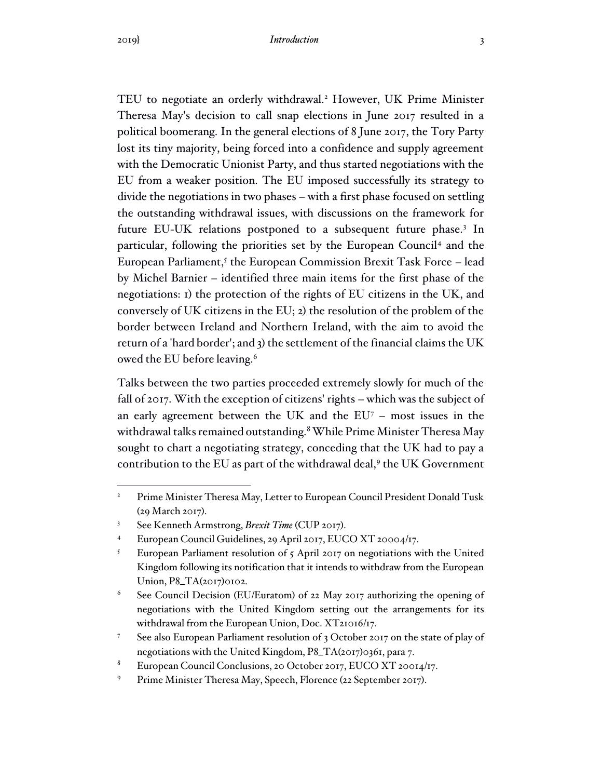TEU to negotiate an orderly withdrawal.<sup>2</sup> However, UK Prime Minister Theresa May's decision to call snap elections in June 2017 resulted in a political boomerang. In the general elections of 8 June 2017, the Tory Party lost its tiny majority, being forced into a confidence and supply agreement with the Democratic Unionist Party, and thus started negotiations with the EU from a weaker position. The EU imposed successfully its strategy to divide the negotiations in two phases – with a first phase focused on settling the outstanding withdrawal issues, with discussions on the framework for future EU-UK relations postponed to a subsequent future phase.<sup>3</sup> In particular, following the priorities set by the European Council<sup>4</sup> and the European Parliament,<sup>5</sup> the European Commission Brexit Task Force – lead by Michel Barnier – identified three main items for the first phase of the negotiations: 1) the protection of the rights of EU citizens in the UK, and conversely of UK citizens in the EU; 2) the resolution of the problem of the border between Ireland and Northern Ireland, with the aim to avoid the return of a 'hard border'; and 3) the settlement of the financial claims the UK owed the EU before leaving.<sup>6</sup>

Talks between the two parties proceeded extremely slowly for much of the fall of 2017. With the exception of citizens' rights – which was the subject of an early agreement between the UK and the  $EU<sup>7</sup>$  – most issues in the withdrawal talks remained outstanding.<sup>8</sup> While Prime Minister Theresa May sought to chart a negotiating strategy, conceding that the UK had to pay a contribution to the EU as part of the withdrawal deal,<sup>9</sup> the UK Government

<sup>&</sup>lt;sup>2</sup> Prime Minister Theresa May, Letter to European Council President Donald Tusk (29 March 2017).

<sup>3</sup> See Kenneth Armstrong, *Brexit Time* (CUP 2017).

<sup>4</sup> European Council Guidelines, 29 April 2017, EUCO XT 20004/17.

<sup>&</sup>lt;sup>5</sup> European Parliament resolution of  $\zeta$  April 2017 on negotiations with the United Kingdom following its notification that it intends to withdraw from the European Union, P8\_TA(2017)0102.

 $6$  See Council Decision (EU/Euratom) of 22 May 2017 authorizing the opening of negotiations with the United Kingdom setting out the arrangements for its withdrawal from the European Union, Doc. XT21016/17.

See also European Parliament resolution of 3 October 2017 on the state of play of negotiations with the United Kingdom, P8\_TA(2017)0361, para 7.

European Council Conclusions, 20 October 2017, EUCO XT 20014/17.

<sup>9</sup> Prime Minister Theresa May, Speech, Florence (22 September 2017).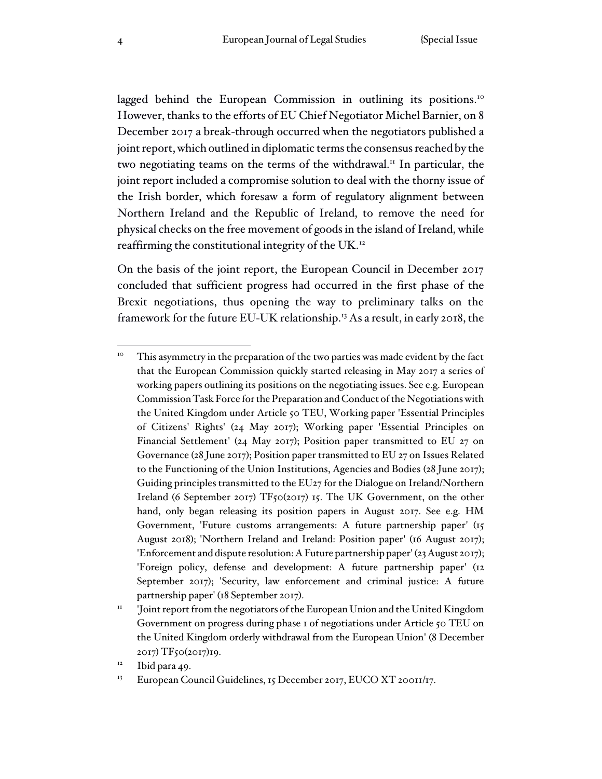lagged behind the European Commission in outlining its positions.<sup>10</sup> However, thanks to the efforts of EU Chief Negotiator Michel Barnier, on 8 December 2017 a break-through occurred when the negotiators published a joint report, which outlined in diplomatic terms the consensus reached by the two negotiating teams on the terms of the withdrawal.<sup>11</sup> In particular, the joint report included a compromise solution to deal with the thorny issue of the Irish border, which foresaw a form of regulatory alignment between Northern Ireland and the Republic of Ireland, to remove the need for physical checks on the free movement of goods in the island of Ireland, while reaffirming the constitutional integrity of the UK.<sup>12</sup>

On the basis of the joint report, the European Council in December 2017 concluded that sufficient progress had occurred in the first phase of the Brexit negotiations, thus opening the way to preliminary talks on the framework for the future EU-UK relationship.<sup>13</sup> As a result, in early 2018, the

<sup>&</sup>lt;sup>10</sup> This asymmetry in the preparation of the two parties was made evident by the fact that the European Commission quickly started releasing in May 2017 a series of working papers outlining its positions on the negotiating issues. See e.g. European Commission Task Force for the Preparation and Conduct of the Negotiations with the United Kingdom under Article 50 TEU, Working paper 'Essential Principles of Citizens' Rights' (24 May 2017); Working paper 'Essential Principles on Financial Settlement' (24 May 2017); Position paper transmitted to EU 27 on Governance (28 June 2017); Position paper transmitted to EU 27 on Issues Related to the Functioning of the Union Institutions, Agencies and Bodies (28 June 2017); Guiding principles transmitted to the EU27 for the Dialogue on Ireland/Northern Ireland (6 September 2017) TF50(2017) 15. The UK Government, on the other hand, only began releasing its position papers in August 2017. See e.g. HM Government, 'Future customs arrangements: A future partnership paper' (15 August 2018); 'Northern Ireland and Ireland: Position paper' (16 August 2017); 'Enforcement and dispute resolution: A Future partnership paper' (23 August 2017); 'Foreign policy, defense and development: A future partnership paper' (12 September 2017); 'Security, law enforcement and criminal justice: A future partnership paper' (18 September 2017).

<sup>11</sup> 'Joint report from the negotiators ofthe European Union and the United Kingdom Government on progress during phase 1 of negotiations under Article 50 TEU on the United Kingdom orderly withdrawal from the European Union' (8 December 2017) TF50(2017)19.

 $12$  Ibid para 49.

<sup>&</sup>lt;sup>13</sup> European Council Guidelines, 15 December 2017, EUCO XT 20011/17.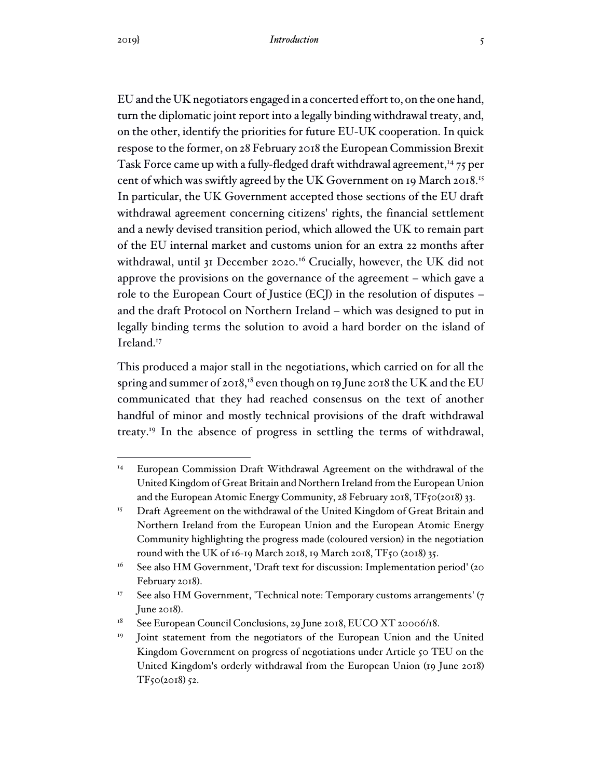EU and the UK negotiators engaged in a concerted effort to, on the one hand, turn the diplomatic joint report into a legally binding withdrawal treaty, and, on the other, identify the priorities for future EU-UK cooperation. In quick respose to the former, on 28 February 2018 the European Commission Brexit Task Force came up with a fully-fledged draft withdrawal agreement,<sup>14</sup> 75 per cent of which was swiftly agreed by the UK Government on 19 March 2018.<sup>15</sup> In particular, the UK Government accepted those sections of the EU draft withdrawal agreement concerning citizens' rights, the financial settlement and a newly devised transition period, which allowed the UK to remain part of the EU internal market and customs union for an extra 22 months after withdrawal, until 31 December 2020.<sup>16</sup> Crucially, however, the UK did not approve the provisions on the governance of the agreement – which gave a role to the European Court of Justice (ECJ) in the resolution of disputes – and the draft Protocol on Northern Ireland – which was designed to put in legally binding terms the solution to avoid a hard border on the island of Ireland.<sup>17</sup>

This produced a major stall in the negotiations, which carried on for all the spring and summer of 2018,<sup>18</sup> even though on 19 June 2018 the UK and the EU communicated that they had reached consensus on the text of another handful of minor and mostly technical provisions of the draft withdrawal treaty.<sup>19</sup> In the absence of progress in settling the terms of withdrawal,

<sup>&</sup>lt;sup>14</sup> European Commission Draft Withdrawal Agreement on the withdrawal of the United Kingdom of Great Britain and Northern Ireland from the European Union and the European Atomic Energy Community, 28 February 2018, TF50(2018) 33.

<sup>&</sup>lt;sup>15</sup> Draft Agreement on the withdrawal of the United Kingdom of Great Britain and Northern Ireland from the European Union and the European Atomic Energy Community highlighting the progress made (coloured version) in the negotiation round with the UK of 16-19 March 2018, 19 March 2018, TF50 (2018) 35.

<sup>&</sup>lt;sup>16</sup> See also HM Government, 'Draft text for discussion: Implementation period' (20 February 2018).

<sup>&</sup>lt;sup>17</sup> See also HM Government, 'Technical note: Temporary customs arrangements' (7) June 2018).

 $18$  See European Council Conclusions, 29 June 2018, EUCO XT 20006/18.

Joint statement from the negotiators of the European Union and the United Kingdom Government on progress of negotiations under Article 50 TEU on the United Kingdom's orderly withdrawal from the European Union (19 June 2018) TF50(2018) 52.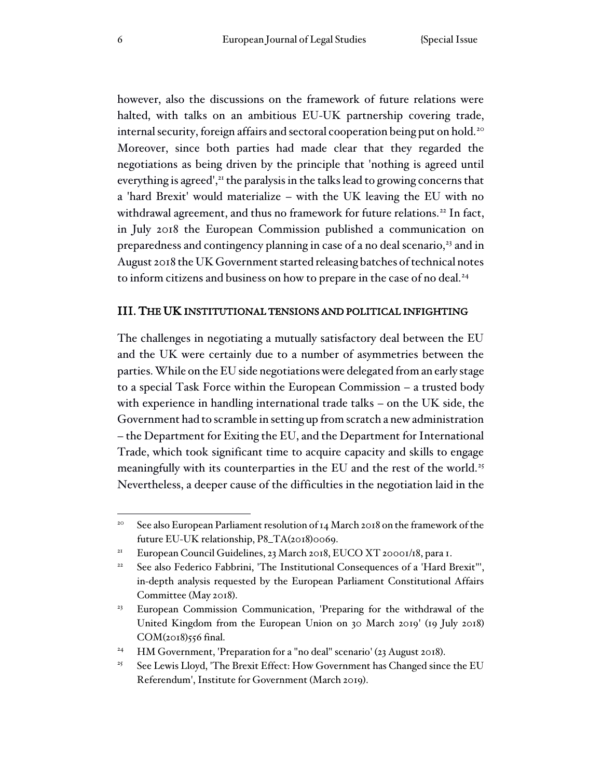however, also the discussions on the framework of future relations were halted, with talks on an ambitious EU-UK partnership covering trade, internal security, foreign affairs and sectoral cooperation being put on hold.<sup>20</sup> Moreover, since both parties had made clear that they regarded the negotiations as being driven by the principle that 'nothing is agreed until everything is agreed', $^{21}$  the paralysis in the talks lead to growing concerns that a 'hard Brexit' would materialize – with the UK leaving the EU with no withdrawal agreement, and thus no framework for future relations.<sup>22</sup> In fact, in July 2018 the European Commission published a communication on preparedness and contingency planning in case of a no deal scenario,<sup>23</sup> and in August 2018 the UK Government started releasing batches of technical notes to inform citizens and business on how to prepare in the case of no deal.<sup>24</sup>

## III. THE UK INSTITUTIONAL TENSIONS AND POLITICAL INFIGHTING

The challenges in negotiating a mutually satisfactory deal between the EU and the UK were certainly due to a number of asymmetries between the parties. While on the EU side negotiations were delegated from an early stage to a special Task Force within the European Commission – a trusted body with experience in handling international trade talks – on the UK side, the Government had to scramble in setting up from scratch a new administration – the Department for Exiting the EU, and the Department for International Trade, which took significant time to acquire capacity and skills to engage meaningfully with its counterparties in the EU and the rest of the world.<sup>25</sup> Nevertheless, a deeper cause of the difficulties in the negotiation laid in the

<sup>&</sup>lt;sup>20</sup> See also European Parliament resolution of 14 March 2018 on the framework of the future EU-UK relationship, P8\_TA(2018)0069.

<sup>&</sup>lt;sup>21</sup> European Council Guidelines, 23 March 2018, EUCO XT 20001/18, para 1.

<sup>&</sup>lt;sup>22</sup> See also Federico Fabbrini, 'The Institutional Consequences of a 'Hard Brexit''', in-depth analysis requested by the European Parliament Constitutional Affairs Committee (May 2018).

<sup>&</sup>lt;sup>23</sup> European Commission Communication, 'Preparing for the withdrawal of the United Kingdom from the European Union on 30 March 2019' (19 July 2018) COM(2018)556 final.

<sup>&</sup>lt;sup>24</sup> HM Government, 'Preparation for a "no deal" scenario' (23 August 2018).

<sup>&</sup>lt;sup>25</sup> See Lewis Lloyd, 'The Brexit Effect: How Government has Changed since the EU Referendum', Institute for Government (March 2019).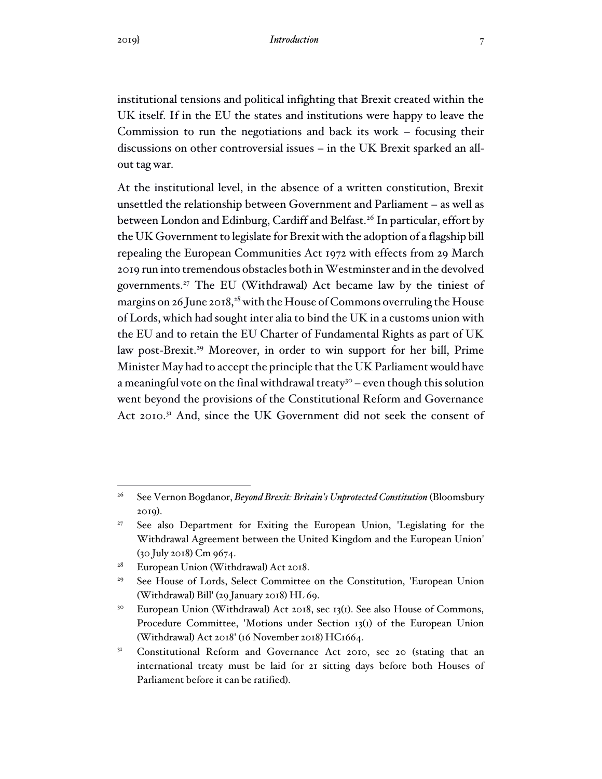institutional tensions and political infighting that Brexit created within the UK itself. If in the EU the states and institutions were happy to leave the Commission to run the negotiations and back its work – focusing their discussions on other controversial issues – in the UK Brexit sparked an allout tag war.

At the institutional level, in the absence of a written constitution, Brexit unsettled the relationship between Government and Parliament – as well as between London and Edinburg, Cardiff and Belfast.<sup>26</sup> In particular, effort by the UK Government to legislate for Brexit with the adoption of a flagship bill repealing the European Communities Act 1972 with effects from 29 March 2019 run into tremendous obstacles both in Westminster and in the devolved governments.<sup>27</sup> The EU (Withdrawal) Act became law by the tiniest of margins on 26 June 2018,<sup>28</sup> with the House of Commons overruling the House of Lords, which had sought inter alia to bind the UK in a customs union with the EU and to retain the EU Charter of Fundamental Rights as part of UK law post-Brexit.<sup>29</sup> Moreover, in order to win support for her bill, Prime Minister May had to accept the principle that the UK Parliament would have a meaningful vote on the final withdrawal treaty<sup>30</sup> – even though this solution went beyond the provisions of the Constitutional Reform and Governance Act 2010.<sup>31</sup> And, since the UK Government did not seek the consent of

<sup>28</sup> European Union (Withdrawal) Act 2018.

<sup>26</sup> See Vernon Bogdanor, *Beyond Brexit: Britain's Unprotected Constitution* (Bloomsbury 2019).

<sup>&</sup>lt;sup>27</sup> See also Department for Exiting the European Union, 'Legislating for the Withdrawal Agreement between the United Kingdom and the European Union' (30 July 2018) Cm 9674.

<sup>&</sup>lt;sup>29</sup> See House of Lords, Select Committee on the Constitution, 'European Union (Withdrawal) Bill' (29 January 2018) HL 69.

<sup>&</sup>lt;sup>30</sup> European Union (Withdrawal) Act 2018, sec 13(1). See also House of Commons, Procedure Committee, 'Motions under Section 13(1) of the European Union (Withdrawal) Act 2018' (16 November 2018) HC1664.

<sup>&</sup>lt;sup>31</sup> Constitutional Reform and Governance Act 2010, sec 20 (stating that an international treaty must be laid for 21 sitting days before both Houses of Parliament before it can be ratified).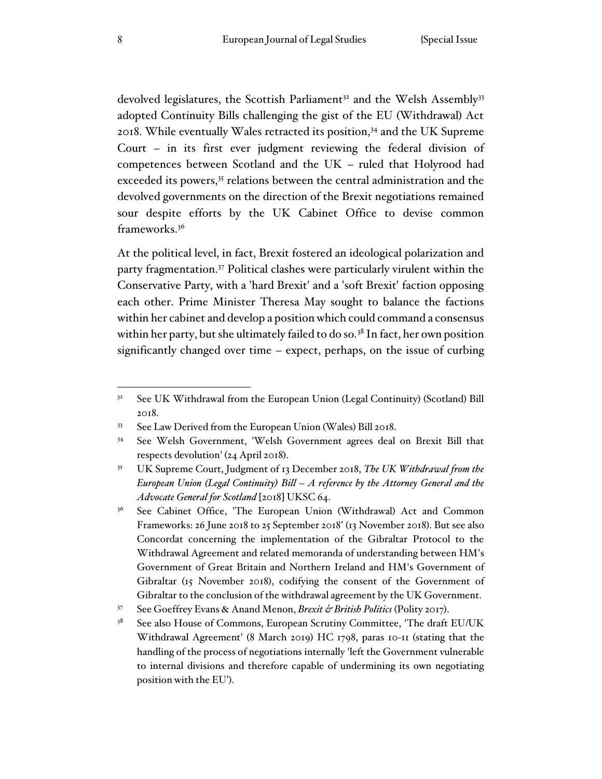devolved legislatures, the Scottish Parliament<sup>32</sup> and the Welsh Assembly<sup>33</sup> adopted Continuity Bills challenging the gist of the EU (Withdrawal) Act 2018. While eventually Wales retracted its position, $34$  and the UK Supreme Court – in its first ever judgment reviewing the federal division of competences between Scotland and the UK – ruled that Holyrood had exceeded its powers,<sup>35</sup> relations between the central administration and the devolved governments on the direction of the Brexit negotiations remained sour despite efforts by the UK Cabinet Office to devise common frameworks.<sup>36</sup>

At the political level, in fact, Brexit fostered an ideological polarization and party fragmentation.<sup>37</sup> Political clashes were particularly virulent within the Conservative Party, with a 'hard Brexit' and a 'soft Brexit' faction opposing each other. Prime Minister Theresa May sought to balance the factions within her cabinet and develop a position which could command a consensus within her party, but she ultimately failed to do so. $38$  In fact, her own position significantly changed over time – expect, perhaps, on the issue of curbing

<sup>&</sup>lt;sup>32</sup> See UK Withdrawal from the European Union (Legal Continuity) (Scotland) Bill 2018.

<sup>33</sup> See Law Derived from the European Union (Wales) Bill 2018.

<sup>34</sup> See Welsh Government, 'Welsh Government agrees deal on Brexit Bill that respects devolution' (24 April 2018).

<sup>35</sup> UK Supreme Court, Judgment of 13 December 2018, *The UK Withdrawal from the European Union (Legal Continuity) Bill – A reference by the Attorney General and the Advocate General for Scotland* [2018] UKSC 64.

<sup>&</sup>lt;sup>36</sup> See Cabinet Office, 'The European Union (Withdrawal) Act and Common Frameworks: 26 June 2018 to 25 September 2018' (13 November 2018). But see also Concordat concerning the implementation of the Gibraltar Protocol to the Withdrawal Agreement and related memoranda of understanding between HM's Government of Great Britain and Northern Ireland and HM's Government of Gibraltar (15 November 2018), codifying the consent of the Government of Gibraltar to the conclusion of the withdrawal agreement by the UK Government.

<sup>37</sup> See Goeffrey Evans & Anand Menon, *Brexit & British Politics* (Polity 2017).

<sup>&</sup>lt;sup>38</sup> See also House of Commons, European Scrutiny Committee, 'The draft EU/UK Withdrawal Agreement' (8 March 2019) HC 1798, paras 10-11 (stating that the handling of the process of negotiations internally 'left the Government vulnerable to internal divisions and therefore capable of undermining its own negotiating position with the EU').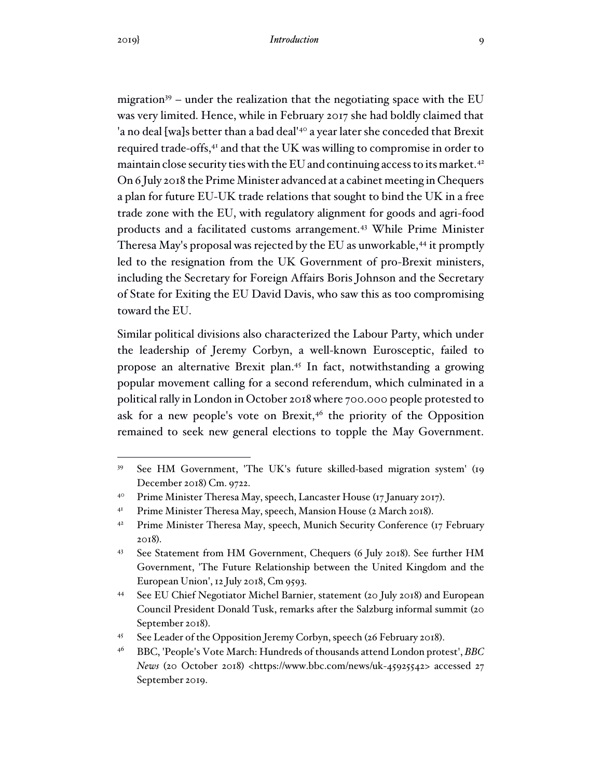migration<sup>39</sup> – under the realization that the negotiating space with the EU was very limited. Hence, while in February 2017 she had boldly claimed that 'a no deal [wa]s better than a bad deal'<sup>40</sup> a year later she conceded that Brexit required trade-offs,<sup>41</sup> and that the UK was willing to compromise in order to maintain close security ties with the EU and continuing access to its market.<sup>42</sup> On 6 July 2018 the Prime Minister advanced at a cabinet meeting in Chequers a plan for future EU-UK trade relations that sought to bind the UK in a free trade zone with the EU, with regulatory alignment for goods and agri-food products and a facilitated customs arrangement.<sup>43</sup> While Prime Minister Theresa May's proposal was rejected by the EU as unworkable,<sup>44</sup> it promptly led to the resignation from the UK Government of pro-Brexit ministers, including the Secretary for Foreign Affairs Boris Johnson and the Secretary of State for Exiting the EU David Davis, who saw this as too compromising toward the EU.

Similar political divisions also characterized the Labour Party, which under the leadership of Jeremy Corbyn, a well-known Eurosceptic, failed to propose an alternative Brexit plan. <sup>45</sup> In fact, notwithstanding a growing popular movement calling for a second referendum, which culminated in a political rally in London in October 2018 where 700.000 people protested to ask for a new people's vote on Brexit, $46$  the priority of the Opposition remained to seek new general elections to topple the May Government.

<sup>39</sup> See HM Government, 'The UK's future skilled-based migration system' (19 December 2018) Cm. 9722.

<sup>&</sup>lt;sup>40</sup> Prime Minister Theresa May, speech, Lancaster House (17 January 2017).

<sup>&</sup>lt;sup>41</sup> Prime Minister Theresa May, speech, Mansion House (2 March 2018).

<sup>&</sup>lt;sup>42</sup> Prime Minister Theresa May, speech, Munich Security Conference (17 February 2018).

<sup>43</sup> See Statement from HM Government, Chequers (6 July 2018). See further HM Government, 'The Future Relationship between the United Kingdom and the European Union', 12 July 2018, Cm 9593.

<sup>44</sup> See EU Chief Negotiator Michel Barnier, statement (20 July 2018) and European Council President Donald Tusk, remarks after the Salzburg informal summit (20 September 2018).

<sup>45</sup> See Leader of the Opposition Jeremy Corbyn, speech (26 February 2018).

<sup>46</sup> BBC, 'People's Vote March: Hundreds of thousands attend London protest', *BBC News* (20 October 2018) <https://www.bbc.com/news/uk-45925542> accessed 27 September 2019.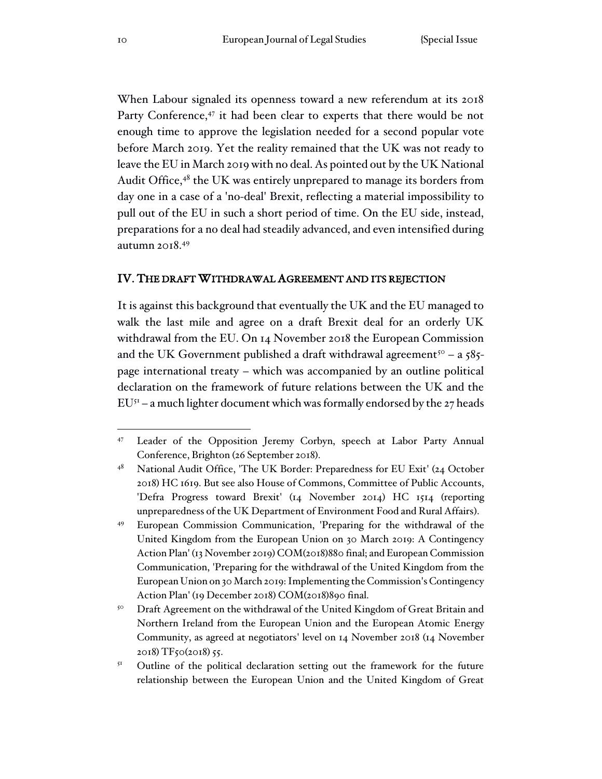When Labour signaled its openness toward a new referendum at its 2018 Party Conference,<sup>47</sup> it had been clear to experts that there would be not enough time to approve the legislation needed for a second popular vote before March 2019. Yet the reality remained that the UK was not ready to leave the EU in March 2019 with no deal. As pointed out by the UK National Audit Office, $48$  the UK was entirely unprepared to manage its borders from day one in a case of a 'no-deal' Brexit, reflecting a material impossibility to pull out of the EU in such a short period of time. On the EU side, instead, preparations for a no deal had steadily advanced, and even intensified during autumn 2018.<sup>49</sup>

## IV. THE DRAFT WITHDRAWAL AGREEMENT AND ITS REJECTION

It is against this background that eventually the UK and the EU managed to walk the last mile and agree on a draft Brexit deal for an orderly UK withdrawal from the EU. On 14 November 2018 the European Commission and the UK Government published a draft withdrawal agreement<sup>50</sup> – a 585page international treaty – which was accompanied by an outline political declaration on the framework of future relations between the UK and the  $EU<sup>51</sup>$  – a much lighter document which was formally endorsed by the 27 heads

<sup>47</sup> Leader of the Opposition Jeremy Corbyn, speech at Labor Party Annual Conference, Brighton (26 September 2018).

<sup>&</sup>lt;sup>48</sup> National Audit Office, 'The UK Border: Preparedness for EU Exit' (24 October 2018) HC 1619. But see also House of Commons, Committee of Public Accounts, 'Defra Progress toward Brexit' (14 November 2014) HC 1514 (reporting unpreparedness of the UK Department of Environment Food and Rural Affairs).

<sup>49</sup> European Commission Communication, 'Preparing for the withdrawal of the United Kingdom from the European Union on 30 March 2019: A Contingency Action Plan' (13 November 2019) COM(2018)880 final; and European Commission Communication, 'Preparing for the withdrawal of the United Kingdom from the European Union on 30 March 2019: Implementing the Commission's Contingency Action Plan' (19 December 2018) COM(2018)890 final.

<sup>&</sup>lt;sup>50</sup> Draft Agreement on the withdrawal of the United Kingdom of Great Britain and Northern Ireland from the European Union and the European Atomic Energy Community, as agreed at negotiators' level on 14 November 2018 (14 November 2018) TF50(2018) 55.

<sup>&</sup>lt;sup>51</sup> Outline of the political declaration setting out the framework for the future relationship between the European Union and the United Kingdom of Great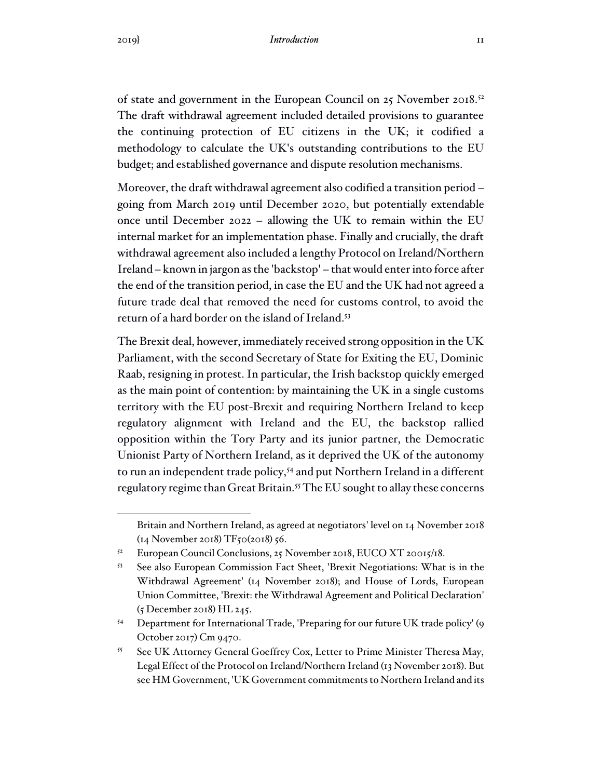of state and government in the European Council on 25 November 2018.<sup>52</sup> The draft withdrawal agreement included detailed provisions to guarantee the continuing protection of EU citizens in the UK; it codified a methodology to calculate the UK's outstanding contributions to the EU budget; and established governance and dispute resolution mechanisms.

Moreover, the draft withdrawal agreement also codified a transition period – going from March 2019 until December 2020, but potentially extendable once until December 2022 – allowing the UK to remain within the EU internal market for an implementation phase. Finally and crucially, the draft withdrawal agreement also included a lengthy Protocol on Ireland/Northern Ireland – known in jargon as the 'backstop' – that would enter into force after the end of the transition period, in case the EU and the UK had not agreed a future trade deal that removed the need for customs control, to avoid the return of a hard border on the island of Ireland. 53

The Brexit deal, however, immediately received strong opposition in the UK Parliament, with the second Secretary of State for Exiting the EU, Dominic Raab, resigning in protest. In particular, the Irish backstop quickly emerged as the main point of contention: by maintaining the UK in a single customs territory with the EU post-Brexit and requiring Northern Ireland to keep regulatory alignment with Ireland and the EU, the backstop rallied opposition within the Tory Party and its junior partner, the Democratic Unionist Party of Northern Ireland, as it deprived the UK of the autonomy to run an independent trade policy,<sup>54</sup> and put Northern Ireland in a different regulatory regime than Great Britain.<sup>55</sup> The EU sought to allay these concerns

Britain and Northern Ireland, as agreed at negotiators' level on 14 November 2018 (14 November 2018) TF50(2018) 56.

<sup>52</sup> European Council Conclusions, 25 November 2018, EUCO XT 20015/18.

<sup>53</sup> See also European Commission Fact Sheet, 'Brexit Negotiations: What is in the Withdrawal Agreement' (14 November 2018); and House of Lords, European Union Committee, 'Brexit: the Withdrawal Agreement and Political Declaration' (5 December 2018) HL 245.

<sup>54</sup> Department for International Trade, 'Preparing for our future UK trade policy' (9 October 2017) Cm 9470.

<sup>&</sup>lt;sup>55</sup> See UK Attorney General Goeffrey Cox, Letter to Prime Minister Theresa May, Legal Effect of the Protocol on Ireland/Northern Ireland (13 November 2018). But see HM Government, 'UK Government commitments to Northern Ireland and its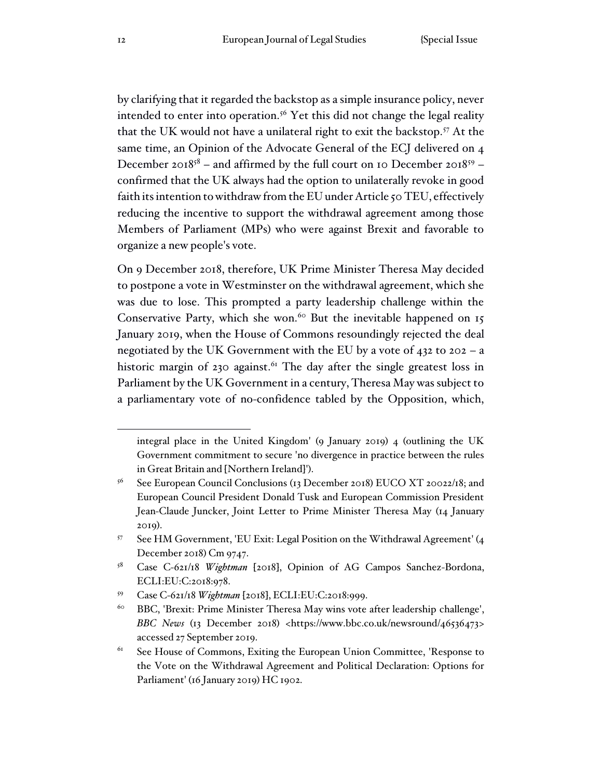by clarifying that it regarded the backstop as a simple insurance policy, never intended to enter into operation.<sup>56</sup> Yet this did not change the legal reality that the UK would not have a unilateral right to exit the backstop.<sup>57</sup> At the same time, an Opinion of the Advocate General of the ECJ delivered on 4 December 2018<sup>58</sup> – and affirmed by the full court on 10 December 2018<sup>59</sup> – confirmed that the UK always had the option to unilaterally revoke in good faith its intention to withdraw from the EU under Article 50 TEU, effectively reducing the incentive to support the withdrawal agreement among those Members of Parliament (MPs) who were against Brexit and favorable to organize a new people's vote.

On 9 December 2018, therefore, UK Prime Minister Theresa May decided to postpone a vote in Westminster on the withdrawal agreement, which she was due to lose. This prompted a party leadership challenge within the Conservative Party, which she won.<sup>60</sup> But the inevitable happened on  $15$ January 2019, when the House of Commons resoundingly rejected the deal negotiated by the UK Government with the EU by a vote of 432 to 202 – a historic margin of 230 against.<sup>61</sup> The day after the single greatest loss in Parliament by the UK Government in a century, Theresa May was subject to a parliamentary vote of no-confidence tabled by the Opposition, which,

integral place in the United Kingdom' (9 January 2019) 4 (outlining the UK Government commitment to secure 'no divergence in practice between the rules in Great Britain and [Northern Ireland]').

 $56$  See European Council Conclusions (13 December 2018) EUCO XT 20022/18; and European Council President Donald Tusk and European Commission President Jean-Claude Juncker, Joint Letter to Prime Minister Theresa May (14 January 2019).

<sup>57</sup> See HM Government, 'EU Exit: Legal Position on the Withdrawal Agreement' (4 December 2018) Cm 9747.

<sup>58</sup> Case C-621/18 *Wightman* [2018], Opinion of AG Campos Sanchez-Bordona, ECLI:EU:C:2018:978.

<sup>59</sup> Case C-621/18 *Wightman* [2018], ECLI:EU:C:2018:999.

<sup>&</sup>lt;sup>60</sup> BBC, 'Brexit: Prime Minister Theresa May wins vote after leadership challenge', *BBC News* (13 December 2018) <https://www.bbc.co.uk/newsround/46536473> accessed 27 September 2019.

 $61$  See House of Commons, Exiting the European Union Committee, 'Response to the Vote on the Withdrawal Agreement and Political Declaration: Options for Parliament' (16 January 2019) HC 1902.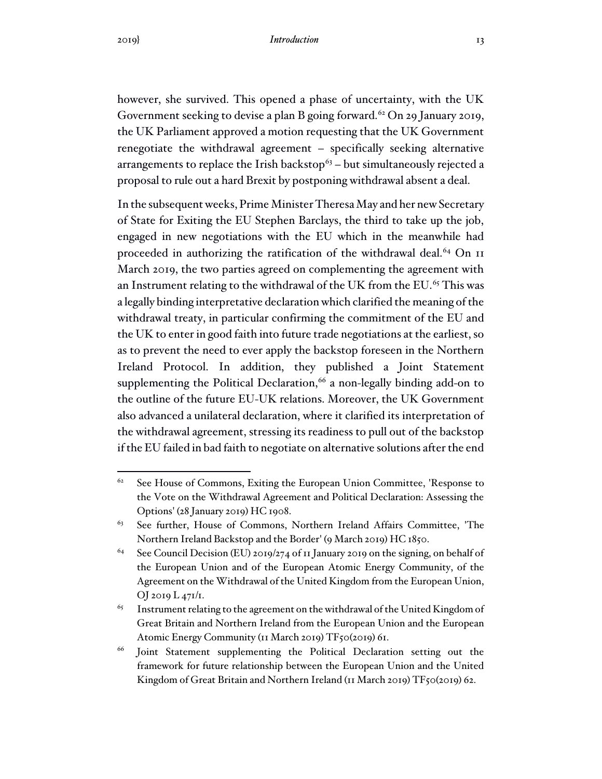however, she survived. This opened a phase of uncertainty, with the UK Government seeking to devise a plan B going forward.<sup>62</sup> On 29 January 2019, the UK Parliament approved a motion requesting that the UK Government renegotiate the withdrawal agreement – specifically seeking alternative arrangements to replace the Irish backstop $63$  – but simultaneously rejected a proposal to rule out a hard Brexit by postponing withdrawal absent a deal.

In the subsequent weeks, Prime Minister Theresa May and her new Secretary of State for Exiting the EU Stephen Barclays, the third to take up the job, engaged in new negotiations with the EU which in the meanwhile had proceeded in authorizing the ratification of the withdrawal deal.<sup>64</sup> On 11 March 2019, the two parties agreed on complementing the agreement with an Instrument relating to the withdrawal of the UK from the EU.<sup>65</sup> This was a legally binding interpretative declaration which clarified the meaning of the withdrawal treaty, in particular confirming the commitment of the EU and the UK to enter in good faith into future trade negotiations at the earliest, so as to prevent the need to ever apply the backstop foreseen in the Northern Ireland Protocol. In addition, they published a Joint Statement supplementing the Political Declaration, $66$  a non-legally binding add-on to the outline of the future EU-UK relations. Moreover, the UK Government also advanced a unilateral declaration, where it clarified its interpretation of the withdrawal agreement, stressing its readiness to pull out of the backstop if the EU failed in bad faith to negotiate on alternative solutions after the end

 $62$  See House of Commons, Exiting the European Union Committee, 'Response to the Vote on the Withdrawal Agreement and Political Declaration: Assessing the Options' (28 January 2019) HC 1908.

<sup>&</sup>lt;sup>63</sup> See further, House of Commons, Northern Ireland Affairs Committee, 'The Northern Ireland Backstop and the Border' (9 March 2019) HC 1850.

<sup>&</sup>lt;sup>64</sup> See Council Decision (EU) 2019/274 of 11 January 2019 on the signing, on behalf of the European Union and of the European Atomic Energy Community, of the Agreement on the Withdrawal of the United Kingdom from the European Union, OJ 2019 L 471/1.

 $65$  Instrument relating to the agreement on the withdrawal of the United Kingdom of Great Britain and Northern Ireland from the European Union and the European Atomic Energy Community (11 March 2019) TF50(2019) 61.

<sup>&</sup>lt;sup>66</sup> Joint Statement supplementing the Political Declaration setting out the framework for future relationship between the European Union and the United Kingdom of Great Britain and Northern Ireland (11 March 2019) TF50(2019) 62.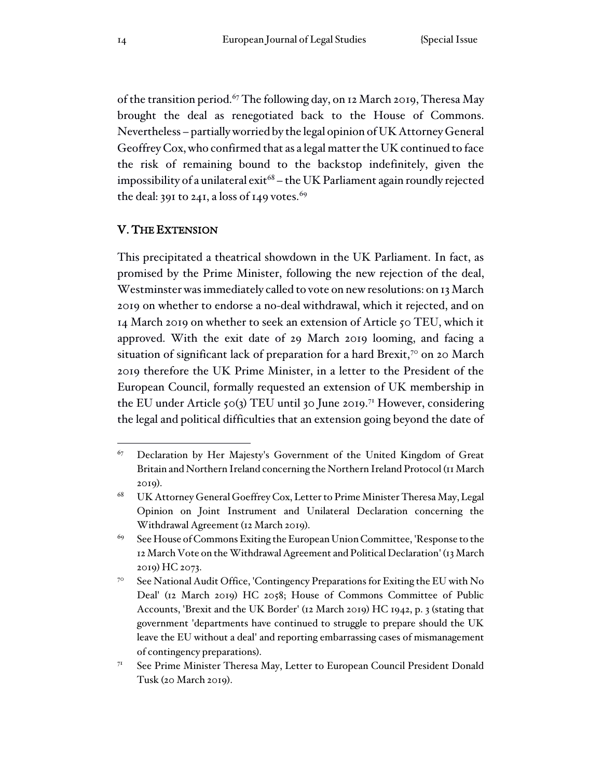of the transition period.<sup>67</sup> The following day, on 12 March 2019, Theresa May brought the deal as renegotiated back to the House of Commons. Nevertheless – partially worried by the legal opinion of UK Attorney General Geoffrey Cox, who confirmed that as a legal matter the UK continued to face the risk of remaining bound to the backstop indefinitely, given the impossibility of a unilateral exit<sup>68</sup> – the UK Parliament again roundly rejected the deal: 391 to 241, a loss of 149 votes.<sup>69</sup>

## V. THE EXTENSION

This precipitated a theatrical showdown in the UK Parliament. In fact, as promised by the Prime Minister, following the new rejection of the deal, Westminster was immediately called to vote on new resolutions: on 13 March 2019 on whether to endorse a no-deal withdrawal, which it rejected, and on 14 March 2019 on whether to seek an extension of Article 50 TEU, which it approved. With the exit date of 29 March 2019 looming, and facing a situation of significant lack of preparation for a hard Brexit,<sup>70</sup> on 20 March 2019 therefore the UK Prime Minister, in a letter to the President of the European Council, formally requested an extension of UK membership in the EU under Article 50(3) TEU until 30 June 2019.<sup>71</sup> However, considering the legal and political difficulties that an extension going beyond the date of

 $67$  Declaration by Her Majesty's Government of the United Kingdom of Great Britain and Northern Ireland concerning the Northern Ireland Protocol (11 March 2019).

<sup>68</sup> UK Attorney General Goeffrey Cox, Letter to Prime Minister Theresa May, Legal Opinion on Joint Instrument and Unilateral Declaration concerning the Withdrawal Agreement (12 March 2019).

<sup>&</sup>lt;sup>69</sup> See House of Commons Exiting the European Union Committee, 'Response to the 12 March Vote on the Withdrawal Agreement and Political Declaration' (13 March 2019) HC 2073.

<sup>70</sup> See National Audit Office, 'Contingency Preparations for Exiting the EU with No Deal' (12 March 2019) HC 2058; House of Commons Committee of Public Accounts, 'Brexit and the UK Border' (12 March 2019) HC 1942, p. 3 (stating that government 'departments have continued to struggle to prepare should the UK leave the EU without a deal' and reporting embarrassing cases of mismanagement of contingency preparations).

<sup>71</sup> See Prime Minister Theresa May, Letter to European Council President Donald Tusk (20 March 2019).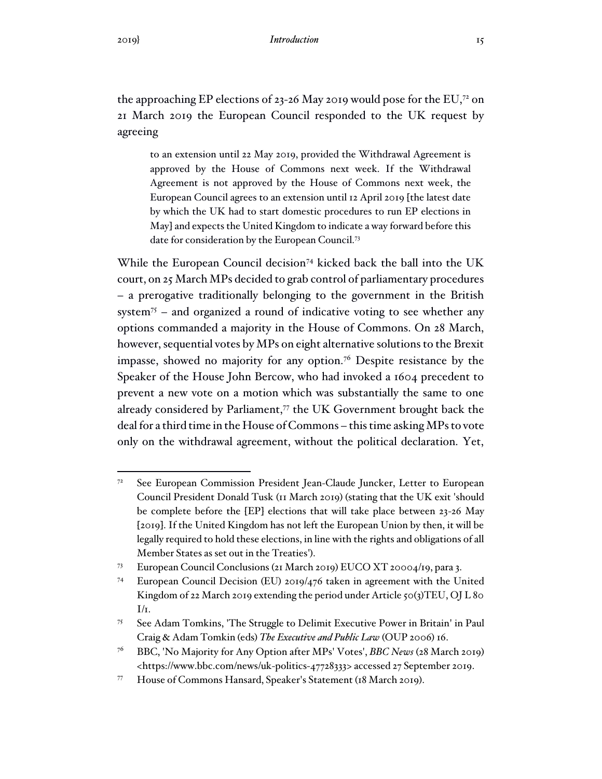the approaching EP elections of 23-26 May 2019 would pose for the EU,<sup>72</sup> on 21 March 2019 the European Council responded to the UK request by agreeing

to an extension until 22 May 2019, provided the Withdrawal Agreement is approved by the House of Commons next week. If the Withdrawal Agreement is not approved by the House of Commons next week, the European Council agrees to an extension until 12 April 2019 [the latest date by which the UK had to start domestic procedures to run EP elections in May] and expects the United Kingdom to indicate a way forward before this date for consideration by the European Council.<sup>73</sup>

While the European Council decision<sup>74</sup> kicked back the ball into the UK court, on 25 March MPs decided to grab control of parliamentary procedures – a prerogative traditionally belonging to the government in the British system<sup>75</sup> – and organized a round of indicative voting to see whether any options commanded a majority in the House of Commons. On 28 March, however, sequential votes by MPs on eight alternative solutions to the Brexit impasse, showed no majority for any option.<sup>76</sup> Despite resistance by the Speaker of the House John Bercow, who had invoked a 1604 precedent to prevent a new vote on a motion which was substantially the same to one already considered by Parliament, $\tau$  the UK Government brought back the deal for a third time in the House of Commons – this time asking MPs to vote only on the withdrawal agreement, without the political declaration. Yet,

<sup>72</sup> See European Commission President Jean-Claude Juncker, Letter to European Council President Donald Tusk (11 March 2019) (stating that the UK exit 'should be complete before the [EP] elections that will take place between 23-26 May [2019]. If the United Kingdom has not left the European Union by then, it will be legally required to hold these elections, in line with the rights and obligations of all Member States as set out in the Treaties').

<sup>73</sup> European Council Conclusions (21 March 2019) EUCO XT 20004/19, para 3.

<sup>74</sup> European Council Decision (EU) 2019/476 taken in agreement with the United Kingdom of 22 March 2019 extending the period under Article 50(3)TEU, OJ L 80  $I/I$ .

<sup>75</sup> See Adam Tomkins, 'The Struggle to Delimit Executive Power in Britain' in Paul Craig & Adam Tomkin (eds) *The Executive and Public Law* (OUP 2006) 16.

<sup>76</sup> BBC, 'No Majority for Any Option after MPs' Votes', *BBC News* (28 March 2019) <https://www.bbc.com/news/uk-politics-47728333> accessed 27 September 2019.

<sup>77</sup> House of Commons Hansard, Speaker's Statement (18 March 2019).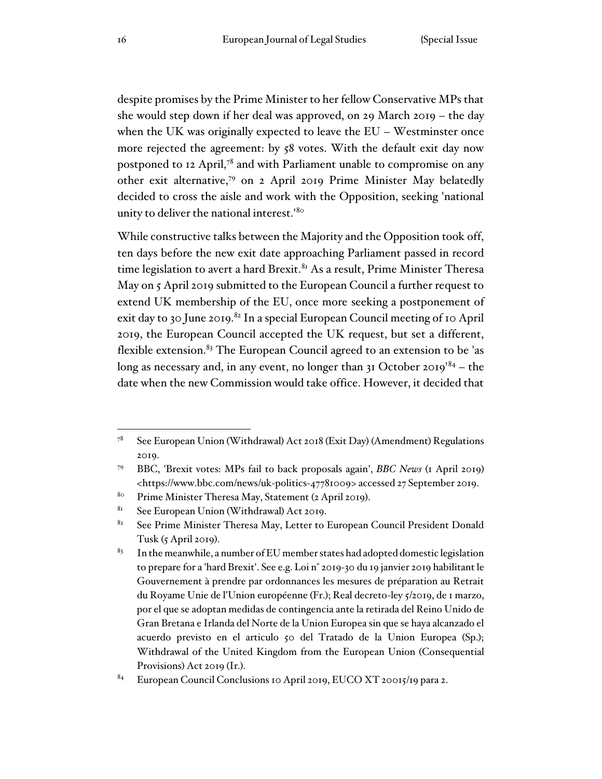despite promises by the Prime Minister to her fellow Conservative MPs that she would step down if her deal was approved, on 29 March 2019 – the day when the UK was originally expected to leave the EU – Westminster once more rejected the agreement: by 58 votes. With the default exit day now postponed to 12 April,<sup>78</sup> and with Parliament unable to compromise on any other exit alternative,<sup>79</sup> on 2 April 2019 Prime Minister May belatedly decided to cross the aisle and work with the Opposition, seeking 'national unity to deliver the national interest.<sup>'80</sup>

While constructive talks between the Majority and the Opposition took off, ten days before the new exit date approaching Parliament passed in record time legislation to avert a hard Brexit. $81$  As a result, Prime Minister Theresa May on 5 April 2019 submitted to the European Council a further request to extend UK membership of the EU, once more seeking a postponement of exit day to 30 June 2019.<sup>82</sup> In a special European Council meeting of 10 April 2019, the European Council accepted the UK request, but set a different, flexible extension. $83$  The European Council agreed to an extension to be 'as long as necessary and, in any event, no longer than 31 October 2019<sup>'84</sup> – the date when the new Commission would take office. However, it decided that

<sup>&</sup>lt;sup>78</sup> See European Union (Withdrawal) Act 2018 (Exit Day) (Amendment) Regulations 2019.

<sup>79</sup> BBC, 'Brexit votes: MPs fail to back proposals again', *BBC News* (1 April 2019) <https://www.bbc.com/news/uk-politics-47781009> accessed 27 September 2019.

<sup>80</sup> Prime Minister Theresa May, Statement (2 April 2019).

<sup>81</sup> See European Union (Withdrawal) Act 2019.

<sup>&</sup>lt;sup>82</sup> See Prime Minister Theresa May, Letter to European Council President Donald Tusk  $(5$  April 2019).

 $83$  In the meanwhile, a number of EU member states had adopted domestic legislation to prepare for a 'hard Brexit'. See e.g. Loi n° 2019-30 du 19 janvier 2019 habilitant le Gouvernement à prendre par ordonnances les mesures de préparation au Retrait du Royame Unie de l'Union européenne (Fr.); Real decreto-ley 5/2019, de 1 marzo, por el que se adoptan medidas de contingencia ante la retirada del Reino Unido de Gran Bretana e Irlanda del Norte de la Union Europea sin que se haya alcanzado el acuerdo previsto en el articulo 50 del Tratado de la Union Europea (Sp.); Withdrawal of the United Kingdom from the European Union (Consequential Provisions) Act 2019 (Ir.).

<sup>84</sup> European Council Conclusions 10 April 2019, EUCO XT 20015/19 para 2.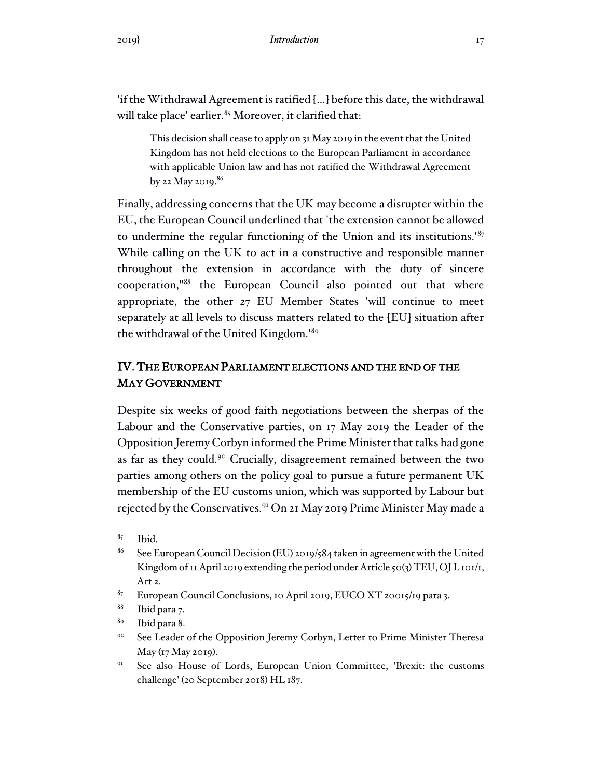'if the Withdrawal Agreement is ratified [...] before this date, the withdrawal will take place' earlier. $85$  Moreover, it clarified that:

This decision shall cease to apply on 31 May 2019 in the event that the United Kingdom has not held elections to the European Parliament in accordance with applicable Union law and has not ratified the Withdrawal Agreement by 22 May 2019. $86$ 

Finally, addressing concerns that the UK may become a disrupter within the EU, the European Council underlined that 'the extension cannot be allowed to undermine the regular functioning of the Union and its institutions.<sup>187</sup> While calling on the UK to act in a constructive and responsible manner throughout the extension in accordance with the duty of sincere cooperation,"<sup>88</sup> the European Council also pointed out that where appropriate, the other 27 EU Member States 'will continue to meet separately at all levels to discuss matters related to the [EU] situation after the withdrawal of the United Kingdom.'<sup>89</sup>

# IV. THE EUROPEAN PARLIAMENT ELECTIONS AND THE END OF THE MAY GOVERNMENT

Despite six weeks of good faith negotiations between the sherpas of the Labour and the Conservative parties, on 17 May 2019 the Leader of the Opposition Jeremy Corbyn informed the Prime Minister that talks had gone as far as they could.<sup>90</sup> Crucially, disagreement remained between the two parties among others on the policy goal to pursue a future permanent UK membership of the EU customs union, which was supported by Labour but rejected by the Conservatives.<sup>91</sup> On 21 May 2019 Prime Minister May made a

 $85$  Ibid.

<sup>86</sup> See European Council Decision (EU) 2019/584 taken in agreement with the United Kingdom of 11 April 2019 extending the period under Article 50(3) TEU, OJ L 101/1, Art 2.

<sup>87</sup> European Council Conclusions, 10 April 2019, EUCO XT 20015/19 para 3.

<sup>88</sup> Ibid para 7.

<sup>89</sup> Ibid para 8.

<sup>&</sup>lt;sup>90</sup> See Leader of the Opposition Jeremy Corbyn, Letter to Prime Minister Theresa May (17 May 2019).

<sup>&</sup>lt;sup>91</sup> See also House of Lords, European Union Committee, 'Brexit: the customs challenge' (20 September 2018) HL 187.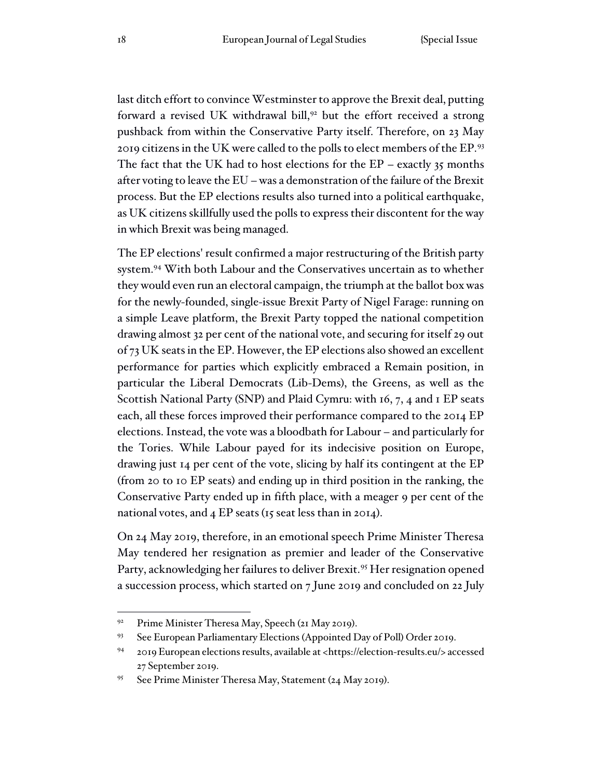last ditch effort to convince Westminster to approve the Brexit deal, putting forward a revised UK withdrawal bill,<sup>92</sup> but the effort received a strong pushback from within the Conservative Party itself. Therefore, on 23 May 2019 citizens in the UK were called to the polls to elect members of the EP.<sup>93</sup> The fact that the UK had to host elections for the  $EP$  – exactly 35 months after voting to leave the EU – was a demonstration of the failure of the Brexit process. But the EP elections results also turned into a political earthquake, as UK citizens skillfully used the polls to express their discontent for the way in which Brexit was being managed.

The EP elections' result confirmed a major restructuring of the British party system.<sup>94</sup> With both Labour and the Conservatives uncertain as to whether they would even run an electoral campaign, the triumph at the ballot box was for the newly-founded, single-issue Brexit Party of Nigel Farage: running on a simple Leave platform, the Brexit Party topped the national competition drawing almost 32 per cent of the national vote, and securing for itself 29 out of 73 UK seats in the EP. However, the EP elections also showed an excellent performance for parties which explicitly embraced a Remain position, in particular the Liberal Democrats (Lib-Dems), the Greens, as well as the Scottish National Party (SNP) and Plaid Cymru: with 16, 7, 4 and 1 EP seats each, all these forces improved their performance compared to the 2014 EP elections. Instead, the vote was a bloodbath for Labour – and particularly for the Tories. While Labour payed for its indecisive position on Europe, drawing just 14 per cent of the vote, slicing by half its contingent at the EP (from 20 to 10 EP seats) and ending up in third position in the ranking, the Conservative Party ended up in fifth place, with a meager 9 per cent of the national votes, and 4 EP seats (15 seat less than in 2014).

On 24 May 2019, therefore, in an emotional speech Prime Minister Theresa May tendered her resignation as premier and leader of the Conservative Party, acknowledging her failures to deliver Brexit.<sup>95</sup> Her resignation opened a succession process, which started on 7 June 2019 and concluded on 22 July

<sup>&</sup>lt;sup>92</sup> Prime Minister Theresa May, Speech (21 May 2019).

<sup>93</sup> See European Parliamentary Elections (Appointed Day of Poll) Order 2019.

<sup>94</sup> 2019 European elections results, available at <https://election-results.eu/> accessed 27 September 2019.

<sup>95</sup> See Prime Minister Theresa May, Statement (24 May 2019).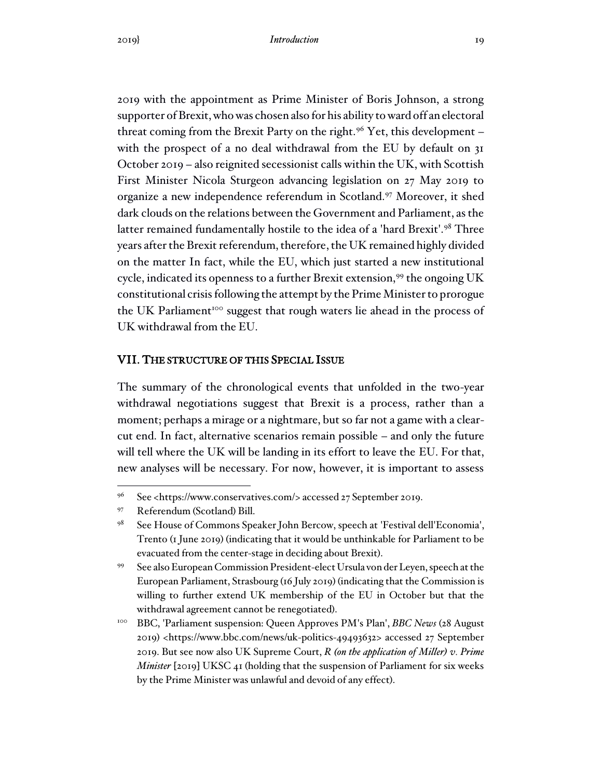2019 with the appointment as Prime Minister of Boris Johnson, a strong supporter of Brexit, who was chosen also for his ability to ward off an electoral threat coming from the Brexit Party on the right.<sup>96</sup> Yet, this development – with the prospect of a no deal withdrawal from the EU by default on 31 October 2019 – also reignited secessionist calls within the UK, with Scottish First Minister Nicola Sturgeon advancing legislation on 27 May 2019 to organize a new independence referendum in Scotland.<sup>97</sup> Moreover, it shed dark clouds on the relations between the Government and Parliament, as the latter remained fundamentally hostile to the idea of a 'hard Brexit'.<sup>98</sup> Three years after the Brexit referendum, therefore, the UK remained highly divided on the matter In fact, while the EU, which just started a new institutional cycle, indicated its openness to a further Brexit extension,<sup>99</sup> the ongoing UK constitutional crisis following the attempt by the Prime Minister to prorogue the UK Parliament<sup>100</sup> suggest that rough waters lie ahead in the process of UK withdrawal from the EU.

#### VII. THE STRUCTURE OF THIS SPECIAL ISSUE

The summary of the chronological events that unfolded in the two-year withdrawal negotiations suggest that Brexit is a process, rather than a moment; perhaps a mirage or a nightmare, but so far not a game with a clearcut end. In fact, alternative scenarios remain possible – and only the future will tell where the UK will be landing in its effort to leave the EU. For that, new analyses will be necessary. For now, however, it is important to assess

<sup>96</sup> See <https://www.conservatives.com/> accessed 27 September 2019.

<sup>97</sup> Referendum (Scotland) Bill.

<sup>98</sup> See House of Commons Speaker John Bercow, speech at 'Festival dell'Economia', Trento (1 June 2019) (indicating that it would be unthinkable for Parliament to be evacuated from the center-stage in deciding about Brexit).

<sup>99</sup> See also European Commission President-elect Ursula von der Leyen, speech at the European Parliament, Strasbourg (16 July 2019) (indicating that the Commission is willing to further extend UK membership of the EU in October but that the withdrawal agreement cannot be renegotiated).

<sup>100</sup> BBC, 'Parliament suspension: Queen Approves PM's Plan', *BBC News* (28 August 2019) <https://www.bbc.com/news/uk-politics-49493632> accessed 27 September 2019. But see now also UK Supreme Court, *R (on the application of Miller) v. Prime Minister* [2019] UKSC 41 (holding that the suspension of Parliament for six weeks by the Prime Minister was unlawful and devoid of any effect).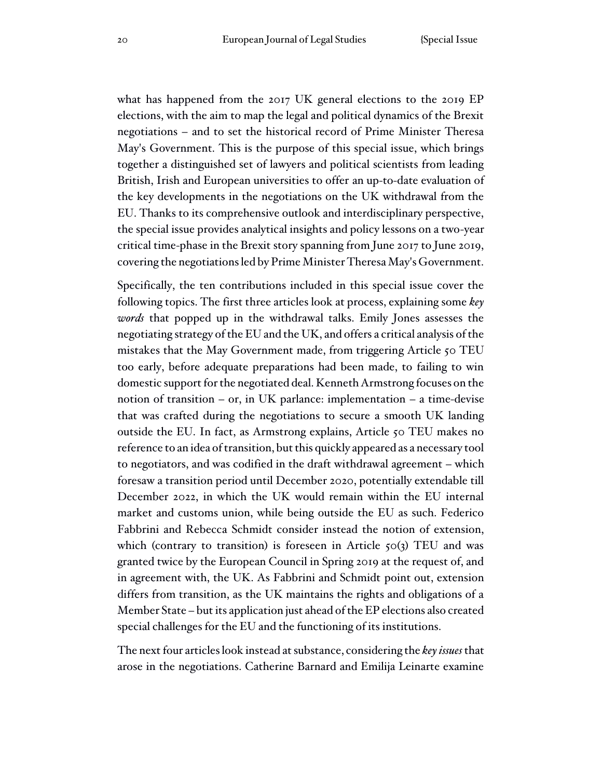what has happened from the 2017 UK general elections to the 2019 EP elections, with the aim to map the legal and political dynamics of the Brexit negotiations – and to set the historical record of Prime Minister Theresa May's Government. This is the purpose of this special issue, which brings together a distinguished set of lawyers and political scientists from leading British, Irish and European universities to offer an up-to-date evaluation of the key developments in the negotiations on the UK withdrawal from the EU. Thanks to its comprehensive outlook and interdisciplinary perspective, the special issue provides analytical insights and policy lessons on a two-year critical time-phase in the Brexit story spanning from June 2017 to June 2019, covering the negotiations led by Prime Minister Theresa May's Government.

Specifically, the ten contributions included in this special issue cover the following topics. The first three articles look at process, explaining some *key words* that popped up in the withdrawal talks. Emily Jones assesses the negotiating strategy of the EU and the UK, and offers a critical analysis of the mistakes that the May Government made, from triggering Article 50 TEU too early, before adequate preparations had been made, to failing to win domestic support for the negotiated deal. Kenneth Armstrong focuses on the notion of transition – or, in UK parlance: implementation – a time-devise that was crafted during the negotiations to secure a smooth UK landing outside the EU. In fact, as Armstrong explains, Article 50 TEU makes no reference to an idea of transition, but this quickly appeared as a necessary tool to negotiators, and was codified in the draft withdrawal agreement – which foresaw a transition period until December 2020, potentially extendable till December 2022, in which the UK would remain within the EU internal market and customs union, while being outside the EU as such. Federico Fabbrini and Rebecca Schmidt consider instead the notion of extension, which (contrary to transition) is foreseen in Article  $50(3)$  TEU and was granted twice by the European Council in Spring 2019 at the request of, and in agreement with, the UK. As Fabbrini and Schmidt point out, extension differs from transition, as the UK maintains the rights and obligations of a Member State – but its application just ahead of the EP elections also created special challenges for the EU and the functioning of its institutions.

The next four articles look instead at substance, considering the *key issues* that arose in the negotiations. Catherine Barnard and Emilija Leinarte examine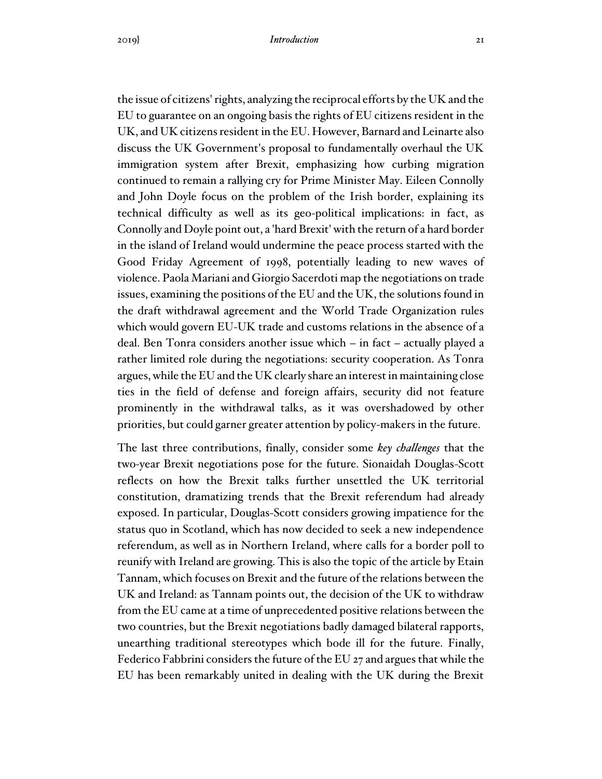the issue of citizens' rights, analyzing the reciprocal efforts by the UK and the EU to guarantee on an ongoing basis the rights of EU citizens resident in the UK, and UK citizens resident in the EU. However, Barnard and Leinarte also discuss the UK Government's proposal to fundamentally overhaul the UK immigration system after Brexit, emphasizing how curbing migration continued to remain a rallying cry for Prime Minister May. Eileen Connolly and John Doyle focus on the problem of the Irish border, explaining its technical difficulty as well as its geo-political implications: in fact, as Connolly and Doyle point out, a 'hard Brexit' with the return of a hard border in the island of Ireland would undermine the peace process started with the Good Friday Agreement of 1998, potentially leading to new waves of violence. Paola Mariani and Giorgio Sacerdoti map the negotiations on trade issues, examining the positions of the EU and the UK, the solutions found in the draft withdrawal agreement and the World Trade Organization rules which would govern EU-UK trade and customs relations in the absence of a deal. Ben Tonra considers another issue which – in fact – actually played a rather limited role during the negotiations: security cooperation. As Tonra argues, while the EU and the UK clearly share an interest in maintaining close ties in the field of defense and foreign affairs, security did not feature prominently in the withdrawal talks, as it was overshadowed by other priorities, but could garner greater attention by policy-makers in the future.

The last three contributions, finally, consider some *key challenges* that the two-year Brexit negotiations pose for the future. Sionaidah Douglas-Scott reflects on how the Brexit talks further unsettled the UK territorial constitution, dramatizing trends that the Brexit referendum had already exposed. In particular, Douglas-Scott considers growing impatience for the status quo in Scotland, which has now decided to seek a new independence referendum, as well as in Northern Ireland, where calls for a border poll to reunify with Ireland are growing. This is also the topic of the article by Etain Tannam, which focuses on Brexit and the future of the relations between the UK and Ireland: as Tannam points out, the decision of the UK to withdraw from the EU came at a time of unprecedented positive relations between the two countries, but the Brexit negotiations badly damaged bilateral rapports, unearthing traditional stereotypes which bode ill for the future. Finally, Federico Fabbrini considers the future of the EU 27 and argues that while the EU has been remarkably united in dealing with the UK during the Brexit